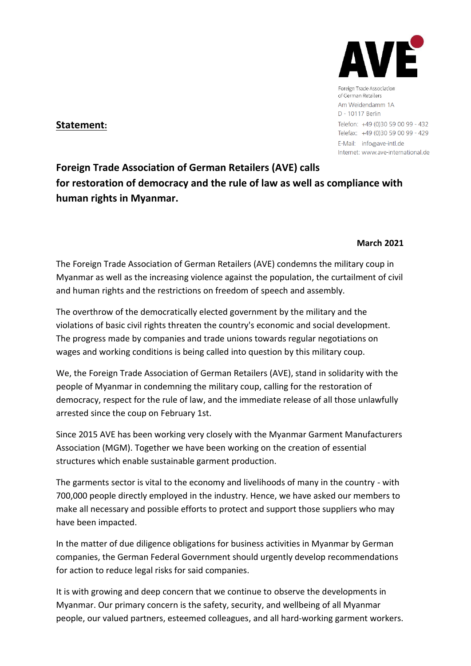

Foreign Trade Association of German Retailers Am Weidendamm 1A D - 10117 Berlin Telefon: +49 (0)30 59 00 99 - 432 Telefax: +49 (0)30 59 00 99 - 429 E-Mail: info@ave-intl.de Internet: www.ave-international.de

## **Statement:**

**Foreign Trade Association of German Retailers (AVE) calls for restoration of democracy and the rule of law as well as compliance with human rights in Myanmar.** 

## **March 2021**

The Foreign Trade Association of German Retailers (AVE) condemns the military coup in Myanmar as well as the increasing violence against the population, the curtailment of civil and human rights and the restrictions on freedom of speech and assembly.

The overthrow of the democratically elected government by the military and the violations of basic civil rights threaten the country's economic and social development. The progress made by companies and trade unions towards regular negotiations on wages and working conditions is being called into question by this military coup.

We, the Foreign Trade Association of German Retailers (AVE), stand in solidarity with the people of Myanmar in condemning the military coup, calling for the restoration of democracy, respect for the rule of law, and the immediate release of all those unlawfully arrested since the coup on February 1st.

Since 2015 AVE has been working very closely with the Myanmar Garment Manufacturers Association (MGM). Together we have been working on the creation of essential structures which enable sustainable garment production.

The garments sector is vital to the economy and livelihoods of many in the country - with 700,000 people directly employed in the industry. Hence, we have asked our members to make all necessary and possible efforts to protect and support those suppliers who may have been impacted.

In the matter of due diligence obligations for business activities in Myanmar by German companies, the German Federal Government should urgently develop recommendations for action to reduce legal risks for said companies.

It is with growing and deep concern that we continue to observe the developments in Myanmar. Our primary concern is the safety, security, and wellbeing of all Myanmar people, our valued partners, esteemed colleagues, and all hard-working garment workers.